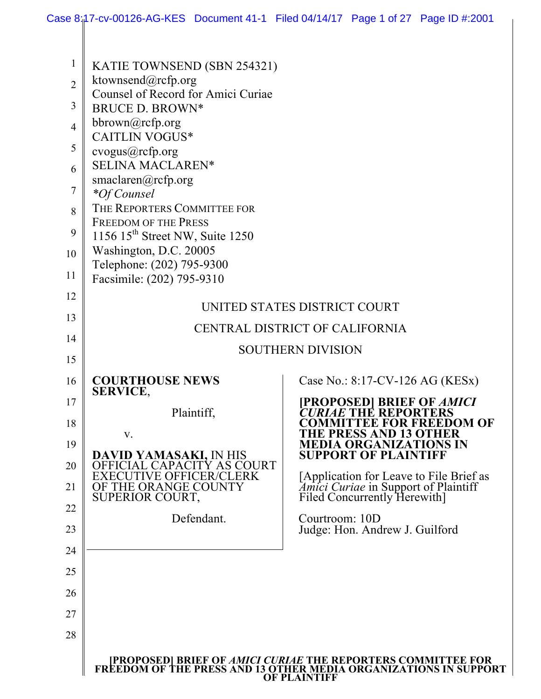| 1              | KATIE TOWNSEND (SBN 254321)                                      |                                                                                                                                                                |
|----------------|------------------------------------------------------------------|----------------------------------------------------------------------------------------------------------------------------------------------------------------|
| $\overline{2}$ | ktownsend@rcfp.org                                               |                                                                                                                                                                |
|                | Counsel of Record for Amici Curiae                               |                                                                                                                                                                |
| 3              | <b>BRUCE D. BROWN*</b>                                           |                                                                                                                                                                |
| $\overline{4}$ | bbrown@rcfp.org<br><b>CAITLIN VOGUS*</b>                         |                                                                                                                                                                |
| 5              | cvogus@rcfp.org                                                  |                                                                                                                                                                |
| 6              | <b>SELINA MACLAREN*</b>                                          |                                                                                                                                                                |
|                | smaclaren@rcfp.org                                               |                                                                                                                                                                |
| 7              | <i>*Of Counsel</i>                                               |                                                                                                                                                                |
| 8              | THE REPORTERS COMMITTEE FOR                                      |                                                                                                                                                                |
| 9              | <b>FREEDOM OF THE PRESS</b><br>1156 $15th$ Street NW, Suite 1250 |                                                                                                                                                                |
| 10             | Washington, D.C. 20005                                           |                                                                                                                                                                |
|                | Telephone: (202) 795-9300                                        |                                                                                                                                                                |
| 11             | Facsimile: (202) 795-9310                                        |                                                                                                                                                                |
| 12             |                                                                  |                                                                                                                                                                |
| 13             |                                                                  | UNITED STATES DISTRICT COURT                                                                                                                                   |
| 14             | CENTRAL DISTRICT OF CALIFORNIA                                   |                                                                                                                                                                |
|                |                                                                  | <b>SOUTHERN DIVISION</b>                                                                                                                                       |
| 15             |                                                                  |                                                                                                                                                                |
| 16             | <b>COURTHOUSE NEWS</b>                                           | Case No.: 8:17-CV-126 AG (KESx)                                                                                                                                |
| 17             | <b>SERVICE,</b>                                                  | <b>PROPOSED  BRIEF OF AMICI</b>                                                                                                                                |
| 18             | Plaintiff,                                                       | <b>E THE REPORTERS</b><br><b>TEE FOR FREEDOM OF</b>                                                                                                            |
|                | V.                                                               | THE PRESS AND 13 OTHER                                                                                                                                         |
| 19             | DAVID YAMASAKI, IN HIS                                           | <b>MEDIA ORGANIZATIONS IN</b><br><b>SUPPORT OF PLAINTIFF</b>                                                                                                   |
| 20             | OFFICIAL CAPACITY AS COURT                                       |                                                                                                                                                                |
| 21             | <b>EXECUTIVE OFFICER/CLERK</b><br>OF THE ORANGE COUNTY           | [Application for Leave to File Brief as<br><i>Amici Curiae</i> in Support of Plaintiff<br>Filed Concurrently Herewith]                                         |
| 22             | SUPERIOR COURT,                                                  |                                                                                                                                                                |
|                | Defendant.                                                       | Courtroom: 10D                                                                                                                                                 |
| 23             |                                                                  | Judge: Hon. Andrew J. Guilford                                                                                                                                 |
| 24             |                                                                  |                                                                                                                                                                |
| 25             |                                                                  |                                                                                                                                                                |
| 26             |                                                                  |                                                                                                                                                                |
| 27             |                                                                  |                                                                                                                                                                |
|                |                                                                  |                                                                                                                                                                |
| 28             |                                                                  |                                                                                                                                                                |
|                |                                                                  | <b>PROPOSED  BRIEF OF AMICI CURIAE THE REPORTERS COMMITTEE FOR<br/>FREEDOM OF THE PRESS AND 13 OTHER MEDIA ORGANIZATIONS IN SUPPORT</b><br><b>OF PLAINTIFF</b> |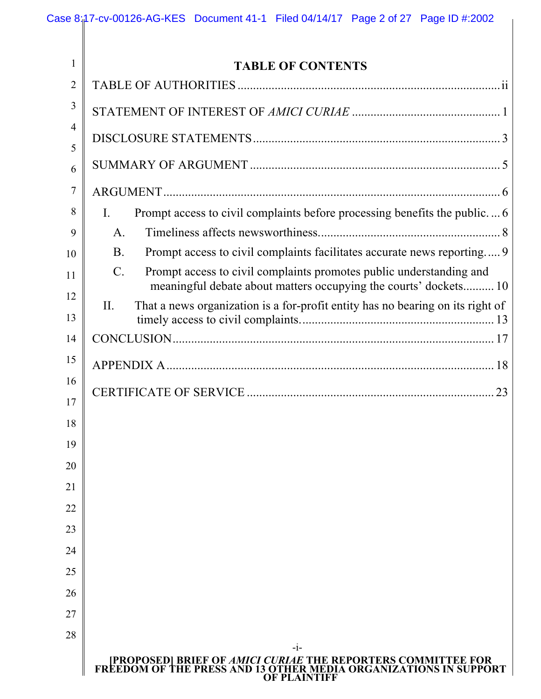| 1        | <b>TABLE OF CONTENTS</b>                                                                                                                               |
|----------|--------------------------------------------------------------------------------------------------------------------------------------------------------|
| 2        |                                                                                                                                                        |
| 3        |                                                                                                                                                        |
| 4        |                                                                                                                                                        |
| 5<br>6   |                                                                                                                                                        |
| 7        |                                                                                                                                                        |
| 8        | Prompt access to civil complaints before processing benefits the public 6<br>$\mathbf{L}$                                                              |
| 9        | $\mathsf{A}$ .                                                                                                                                         |
| 10       | Prompt access to civil complaints facilitates accurate news reporting 9<br><b>B</b> .                                                                  |
| 11       | $C_{\cdot}$<br>Prompt access to civil complaints promotes public understanding and<br>meaningful debate about matters occupying the courts' dockets 10 |
| 12<br>13 | That a news organization is a for-profit entity has no bearing on its right of<br>$\Pi$ .                                                              |
| 14       |                                                                                                                                                        |
| 15       |                                                                                                                                                        |
| 16       |                                                                                                                                                        |
| 17       |                                                                                                                                                        |
| 18       |                                                                                                                                                        |
| 19       |                                                                                                                                                        |
| 20       |                                                                                                                                                        |
| 21       |                                                                                                                                                        |
| 22       |                                                                                                                                                        |
| 23       |                                                                                                                                                        |
| 24       |                                                                                                                                                        |
| 25       |                                                                                                                                                        |
| 26       |                                                                                                                                                        |
| 27       |                                                                                                                                                        |
| 28       | $-1-$                                                                                                                                                  |
|          | [PROPOSED] BRIEF OF AMICI CURIAE THE REPORTERS COMMITTEE FOR<br>FREEDOM OF THE PRESS AND 13 OTHER MEDIA ORGANIZATIONS IN SUPPORT<br>OF PLAINTIFF       |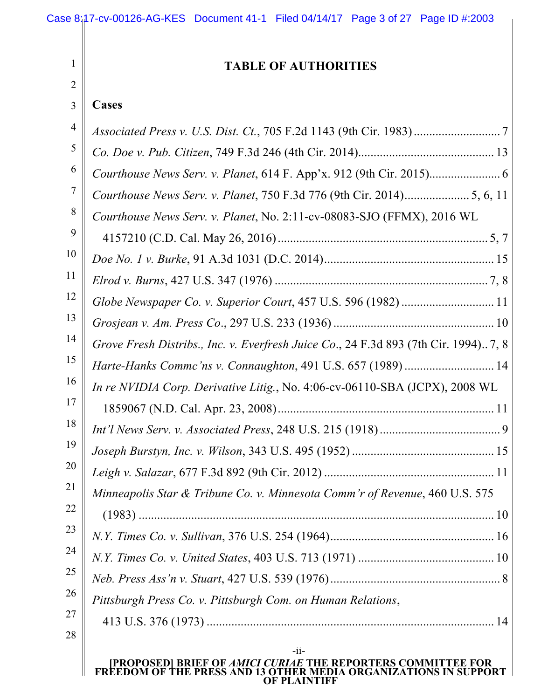| 1              | <b>TABLE OF AUTHORITIES</b>                                                          |
|----------------|--------------------------------------------------------------------------------------|
| $\overline{2}$ |                                                                                      |
| 3              | <b>Cases</b>                                                                         |
| 4              |                                                                                      |
| 5              |                                                                                      |
| 6              |                                                                                      |
| 7              |                                                                                      |
| 8              | Courthouse News Serv. v. Planet, No. 2:11-cv-08083-SJO (FFMX), 2016 WL               |
| 9              |                                                                                      |
| 10             |                                                                                      |
| 11             |                                                                                      |
| 12             |                                                                                      |
| 13             |                                                                                      |
| 14             | Grove Fresh Distribs., Inc. v. Everfresh Juice Co., 24 F.3d 893 (7th Cir. 1994) 7, 8 |
| 15             | Harte-Hanks Commc'ns v. Connaughton, 491 U.S. 657 (1989)  14                         |
| 16             | In re NVIDIA Corp. Derivative Litig., No. 4:06-cv-06110-SBA (JCPX), 2008 WL          |
| 17             |                                                                                      |
| 18             |                                                                                      |
| 19             |                                                                                      |
| 20             |                                                                                      |
| 21             | Minneapolis Star & Tribune Co. v. Minnesota Comm'r of Revenue, 460 U.S. 575          |
| 22             |                                                                                      |
| 23             |                                                                                      |
| 24             |                                                                                      |
| 25             |                                                                                      |
| 26             | Pittsburgh Press Co. v. Pittsburgh Com. on Human Relations,                          |
| 27             |                                                                                      |
| 28             | $-i$ i-                                                                              |
|                | [PROPOSED] BRIEF OF AMICI CURIAE THE REPORTERS COMMITTEE FOR                         |

**FREEDOM OF THE PRESS AND 13 OTHER MEDIA ORGANIZATIONS IN SUPPORT OF PLAINTIFF**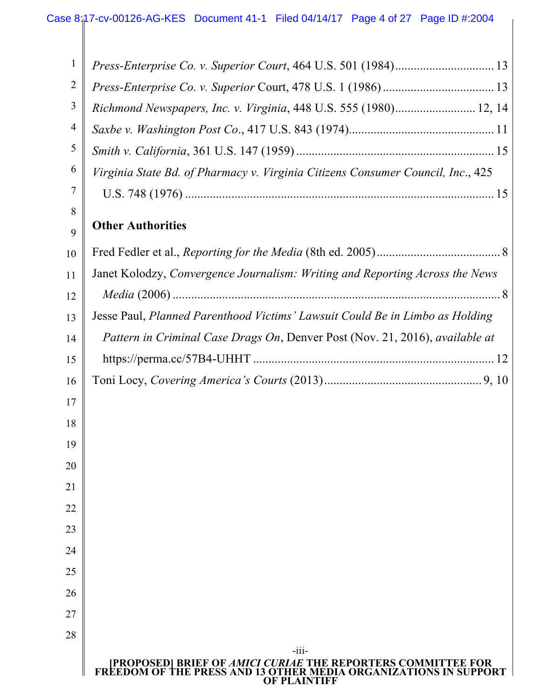| 1  |                                                                                                                                          |
|----|------------------------------------------------------------------------------------------------------------------------------------------|
| 2  |                                                                                                                                          |
| 3  | Richmond Newspapers, Inc. v. Virginia, 448 U.S. 555 (1980) 12, 14                                                                        |
| 4  |                                                                                                                                          |
| 5  |                                                                                                                                          |
| 6  | Virginia State Bd. of Pharmacy v. Virginia Citizens Consumer Council, Inc., 425                                                          |
| 7  |                                                                                                                                          |
| 8  |                                                                                                                                          |
| 9  | <b>Other Authorities</b>                                                                                                                 |
| 10 |                                                                                                                                          |
| 11 | Janet Kolodzy, Convergence Journalism: Writing and Reporting Across the News                                                             |
| 12 |                                                                                                                                          |
| 13 | Jesse Paul, Planned Parenthood Victims' Lawsuit Could Be in Limbo as Holding                                                             |
| 14 | Pattern in Criminal Case Drags On, Denver Post (Nov. 21, 2016), available at                                                             |
| 15 |                                                                                                                                          |
| 16 |                                                                                                                                          |
| 17 |                                                                                                                                          |
| 18 |                                                                                                                                          |
| 19 |                                                                                                                                          |
| 20 |                                                                                                                                          |
| 21 |                                                                                                                                          |
| 22 |                                                                                                                                          |
| 23 |                                                                                                                                          |
| 24 |                                                                                                                                          |
| 25 |                                                                                                                                          |
| 26 |                                                                                                                                          |
| 27 |                                                                                                                                          |
| 28 | $-111-$                                                                                                                                  |
|    | <b>[PROPOSED] BRIEF OF AMICI CURIAE THE REPORTERS COMMITTEE FOR<br/>FREEDOM OF THE PRESS AND 13 OTHER MEDIA ORGANIZATIONS IN SUPPORT</b> |

**OF PLAINTIFF**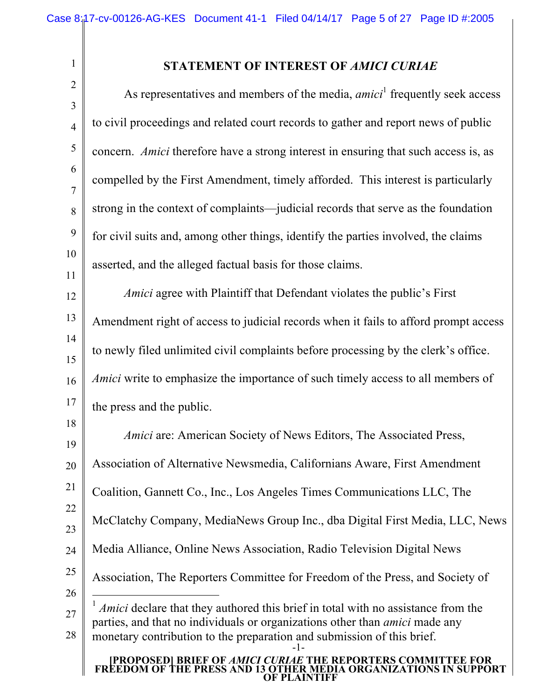2

## **STATEMENT OF INTEREST OF** *AMICI CURIAE*

As representatives and members of the media, *amici*<sup>1</sup> frequently seek access to civil proceedings and related court records to gather and report news of public concern. *Amici* therefore have a strong interest in ensuring that such access is, as compelled by the First Amendment, timely afforded. This interest is particularly strong in the context of complaints—judicial records that serve as the foundation for civil suits and, among other things, identify the parties involved, the claims asserted, and the alleged factual basis for those claims.

*Amici* agree with Plaintiff that Defendant violates the public's First Amendment right of access to judicial records when it fails to afford prompt access to newly filed unlimited civil complaints before processing by the clerk's office. *Amici* write to emphasize the importance of such timely access to all members of the press and the public.

26 27 28 -1- *Amici* are: American Society of News Editors, The Associated Press, Association of Alternative Newsmedia, Californians Aware, First Amendment Coalition, Gannett Co., Inc., Los Angeles Times Communications LLC, The McClatchy Company, MediaNews Group Inc., dba Digital First Media, LLC, News Media Alliance, Online News Association, Radio Television Digital News Association, The Reporters Committee for Freedom of the Press, and Society of <sup>1</sup> *Amici* declare that they authored this brief in total with no assistance from the parties, and that no individuals or organizations other than *amici* made any monetary contribution to the preparation and submission of this brief.

#### **[PROPOSED] BRIEF OF** *AMICI CURIAE* **THE REPORTERS COMMITTEE FOR FREEDOM OF THE PRESS AND 13 OTHER MEDIA ORGANIZATIONS IN SUPPORT OF PLAINTIFF**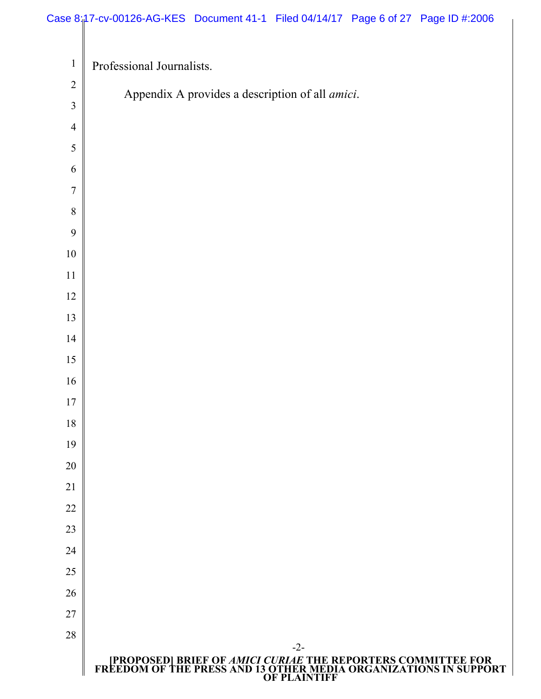# Case 8:<sub>1</sub>17-cv-00126-AG-KES Document 41-1 Filed 04/14/17 Page 6 of 27 Page ID #:2006

| $\mathbf{1}$   | Professional Journalists.                                                                                                                        |
|----------------|--------------------------------------------------------------------------------------------------------------------------------------------------|
| $\sqrt{2}$     | Appendix A provides a description of all <i>amici</i> .                                                                                          |
| $\overline{3}$ |                                                                                                                                                  |
| $\overline{4}$ |                                                                                                                                                  |
| 5              |                                                                                                                                                  |
| 6              |                                                                                                                                                  |
| 7              |                                                                                                                                                  |
| 8              |                                                                                                                                                  |
| 9              |                                                                                                                                                  |
| $10\,$         |                                                                                                                                                  |
| 11             |                                                                                                                                                  |
| 12             |                                                                                                                                                  |
| 13<br>14       |                                                                                                                                                  |
| 15             |                                                                                                                                                  |
| 16             |                                                                                                                                                  |
| 17             |                                                                                                                                                  |
| 18             |                                                                                                                                                  |
| 19             |                                                                                                                                                  |
| 20             |                                                                                                                                                  |
| 21             |                                                                                                                                                  |
| 22             |                                                                                                                                                  |
| 23             |                                                                                                                                                  |
| 24             |                                                                                                                                                  |
| 25             |                                                                                                                                                  |
| 26             |                                                                                                                                                  |
| 27             |                                                                                                                                                  |
| 28             | $-2-$                                                                                                                                            |
|                | [PROPOSED] BRIEF OF AMICI CURIAE THE REPORTERS COMMITTEE FOR<br>FREEDOM OF THE PRESS AND 13 OTHER MEDIA ORGANIZATIONS IN SUPPORT<br>OF PLAINTIFF |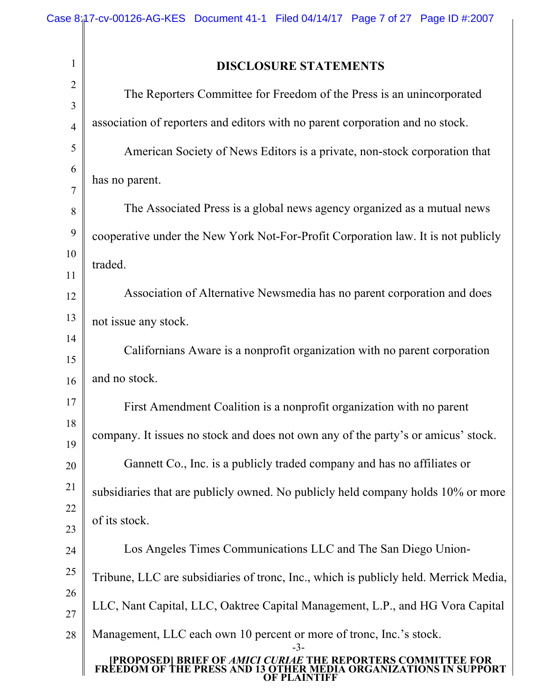$\overline{\phantom{a}}$ 

| $\mathbf{1}$        | <b>DISCLOSURE STATEMENTS</b>                                                                                                                                      |
|---------------------|-------------------------------------------------------------------------------------------------------------------------------------------------------------------|
| $\overline{2}$      | The Reporters Committee for Freedom of the Press is an unincorporated                                                                                             |
| 3<br>$\overline{4}$ | association of reporters and editors with no parent corporation and no stock.                                                                                     |
| 5                   | American Society of News Editors is a private, non-stock corporation that                                                                                         |
| 6                   | has no parent.                                                                                                                                                    |
| 7                   |                                                                                                                                                                   |
| 8                   | The Associated Press is a global news agency organized as a mutual news                                                                                           |
| 9                   | cooperative under the New York Not-For-Profit Corporation law. It is not publicly                                                                                 |
| 10                  | traded.                                                                                                                                                           |
| 11<br>12            | Association of Alternative Newsmedia has no parent corporation and does                                                                                           |
| 13                  | not issue any stock.                                                                                                                                              |
| 14<br>15            | Californians Aware is a nonprofit organization with no parent corporation                                                                                         |
| 16                  | and no stock.                                                                                                                                                     |
| 17                  | First Amendment Coalition is a nonprofit organization with no parent                                                                                              |
| 18<br>19            | company. It issues no stock and does not own any of the party's or amicus' stock.                                                                                 |
| 20                  | Gannett Co., Inc. is a publicly traded company and has no affiliates or                                                                                           |
| 21                  | subsidiaries that are publicly owned. No publicly held company holds 10% or more                                                                                  |
| 22                  | of its stock.                                                                                                                                                     |
| 23<br>24            | Los Angeles Times Communications LLC and The San Diego Union-                                                                                                     |
| 25                  | Tribune, LLC are subsidiaries of tronc, Inc., which is publicly held. Merrick Media,                                                                              |
| 26<br>27            | LLC, Nant Capital, LLC, Oaktree Capital Management, L.P., and HG Vora Capital                                                                                     |
| 28                  | Management, LLC each own 10 percent or more of tronc, Inc.'s stock.                                                                                               |
|                     | $-3-$<br><b>[PROPOSED] BRIEF OF AMICI CURIAE</b><br><b>THE REPORTERS COMM</b><br><b>E PRESS AND 13 OTHER MEDIA ORGANIZATIONS IN SUPPORT</b><br><b>F PLAINTIFF</b> |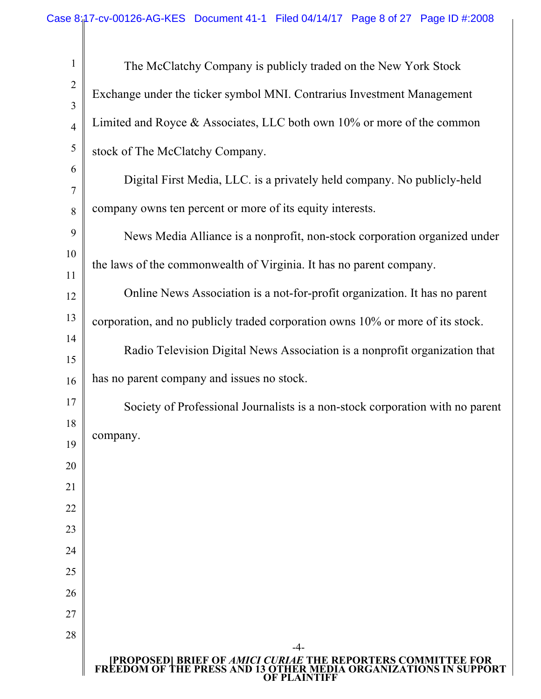| $\mathbf{1}$        | The McClatchy Company is publicly traded on the New York Stock                                                                                                        |
|---------------------|-----------------------------------------------------------------------------------------------------------------------------------------------------------------------|
| $\overline{2}$<br>3 | Exchange under the ticker symbol MNI. Contrarius Investment Management                                                                                                |
| $\overline{4}$      | Limited and Royce $\&$ Associates, LLC both own 10% or more of the common                                                                                             |
| 5                   | stock of The McClatchy Company.                                                                                                                                       |
| 6                   | Digital First Media, LLC. is a privately held company. No publicly-held                                                                                               |
| $\overline{7}$<br>8 | company owns ten percent or more of its equity interests.                                                                                                             |
| 9                   |                                                                                                                                                                       |
| 10                  | News Media Alliance is a nonprofit, non-stock corporation organized under                                                                                             |
| 11                  | the laws of the commonwealth of Virginia. It has no parent company.                                                                                                   |
| 12                  | Online News Association is a not-for-profit organization. It has no parent                                                                                            |
| 13                  | corporation, and no publicly traded corporation owns 10% or more of its stock.                                                                                        |
| 14                  | Radio Television Digital News Association is a nonprofit organization that                                                                                            |
| 15<br>16            | has no parent company and issues no stock.                                                                                                                            |
| 17                  | Society of Professional Journalists is a non-stock corporation with no parent                                                                                         |
| 18                  |                                                                                                                                                                       |
| 19                  | company.                                                                                                                                                              |
| 20                  |                                                                                                                                                                       |
| 21                  |                                                                                                                                                                       |
| 22                  |                                                                                                                                                                       |
| 23                  |                                                                                                                                                                       |
| 24                  |                                                                                                                                                                       |
| 25                  |                                                                                                                                                                       |
| 26<br>27            |                                                                                                                                                                       |
| 28                  |                                                                                                                                                                       |
|                     | -4-<br><b>PROPOSED  BRIEF OF AMICI CURIAE THE REPORTERS COMMITTEE FOR<br/>FREEDOM OF THE PRESS AND 13 OTHER MEDIA ORGANIZATIONS IN SUPPORT</b><br><b>OF PLAINTIFF</b> |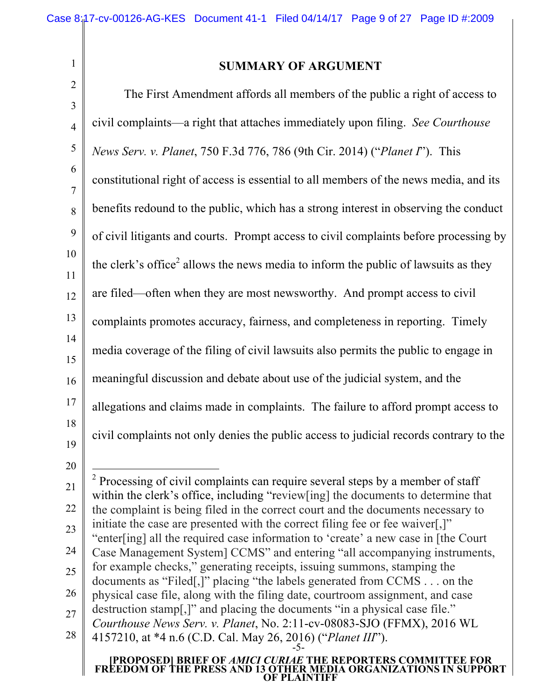# **SUMMARY OF ARGUMENT**

| ∠<br>$\mathfrak{Z}$ | The First Amendment affords all members of the public a right of access to                                                                                            |
|---------------------|-----------------------------------------------------------------------------------------------------------------------------------------------------------------------|
| $\overline{4}$      | civil complaints—a right that attaches immediately upon filing. See Courthouse                                                                                        |
| $\sqrt{5}$          | News Serv. v. Planet, 750 F.3d 776, 786 (9th Cir. 2014) ("Planet I"). This                                                                                            |
| 6                   | constitutional right of access is essential to all members of the news media, and its                                                                                 |
| $\overline{7}$<br>8 | benefits redound to the public, which has a strong interest in observing the conduct                                                                                  |
| 9                   | of civil litigants and courts. Prompt access to civil complaints before processing by                                                                                 |
| 10                  | the clerk's office <sup>2</sup> allows the news media to inform the public of lawsuits as they                                                                        |
| 11<br>12            | are filed—often when they are most newsworthy. And prompt access to civil                                                                                             |
| 13                  | complaints promotes accuracy, fairness, and completeness in reporting. Timely                                                                                         |
| 14                  | media coverage of the filing of civil lawsuits also permits the public to engage in                                                                                   |
| 15<br>16            | meaningful discussion and debate about use of the judicial system, and the                                                                                            |
| 17                  | allegations and claims made in complaints. The failure to afford prompt access to                                                                                     |
| 18                  | civil complaints not only denies the public access to judicial records contrary to the                                                                                |
| 19<br>20            |                                                                                                                                                                       |
| 21                  | <sup>2</sup> Processing of civil complaints can require several steps by a member of staff                                                                            |
| 22                  | within the clerk's office, including "review[ing] the documents to determine that<br>the complaint is being filed in the correct court and the documents necessary to |
| 23                  | initiate the case are presented with the correct filing fee or fee waiver[,]"<br>"enter[ing] all the required case information to 'create' a new case in [the Court   |
| 24<br>25            | Case Management System] CCMS" and entering "all accompanying instruments,<br>for example checks," generating receipts, issuing summons, stamping the                  |
| 26                  | documents as "Filed[,]" placing "the labels generated from CCMS on the<br>physical case file, along with the filing date, courtroom assignment, and case              |
| 27                  | destruction stamp[,]" and placing the documents "in a physical case file."<br>Courthouse News Serv. v. Planet, No. 2:11-cv-08083-SJO (FFMX), 2016 WL                  |
| 28                  | 4157210, at *4 n.6 (C.D. Cal. May 26, 2016) ("Planet III").                                                                                                           |
|                     | [PROPOSED] BRIEF OF AMICI CURIAE THE REPORTERS COMMITTEE FOR<br>FREEDOM OF THE PRESS AND 13 OTHER MEDIA ORGANIZATIONS IN SUPPORT<br><b>OF PLAINTIFF</b>               |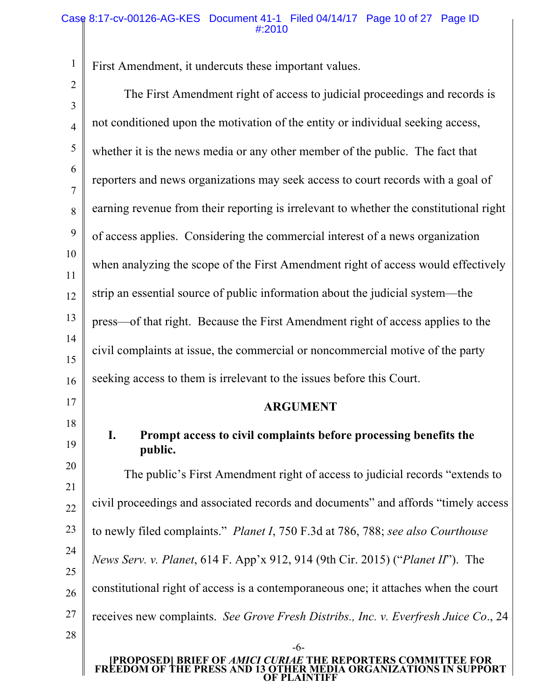## Case 8:17-cv-00126-AG-KES Document 41-1 Filed 04/14/17 Page 10 of 27 Page ID #:2010

First Amendment, it undercuts these important values.

1  $\overline{a}$ 

| $\angle$<br>3       | The First Amendment right of access to judicial proceedings and records is                                                       |
|---------------------|----------------------------------------------------------------------------------------------------------------------------------|
| $\overline{4}$      | not conditioned upon the motivation of the entity or individual seeking access,                                                  |
| 5                   | whether it is the news media or any other member of the public. The fact that                                                    |
| 6                   | reporters and news organizations may seek access to court records with a goal of                                                 |
| $\overline{7}$<br>8 | earning revenue from their reporting is irrelevant to whether the constitutional right                                           |
| 9                   | of access applies. Considering the commercial interest of a news organization                                                    |
| 10                  | when analyzing the scope of the First Amendment right of access would effectively                                                |
| 11                  | strip an essential source of public information about the judicial system—the                                                    |
| 12<br>13            | press—of that right. Because the First Amendment right of access applies to the                                                  |
| 14                  |                                                                                                                                  |
| 15                  | civil complaints at issue, the commercial or noncommercial motive of the party                                                   |
| 16                  | seeking access to them is irrelevant to the issues before this Court.                                                            |
| 17                  | <b>ARGUMENT</b>                                                                                                                  |
| 18<br>19            | I.<br>Prompt access to civil complaints before processing benefits the<br>public.                                                |
| 20                  | The public's First Amendment right of access to judicial records "extends to                                                     |
| 21<br>22            | civil proceedings and associated records and documents" and affords "timely access"                                              |
| 23                  | to newly filed complaints." <i>Planet I</i> , 750 F.3d at 786, 788; see also Courthouse                                          |
| 24                  | <i>News Serv. v. Planet, 614 F. App'x 912, 914 (9th Cir. 2015) ("Planet II"). The</i>                                            |
| 25                  |                                                                                                                                  |
| 26                  | constitutional right of access is a contemporaneous one; it attaches when the court                                              |
| 27                  | receives new complaints. See Grove Fresh Distribs., Inc. v. Everfresh Juice Co., 24                                              |
| 28                  | $-6-$                                                                                                                            |
|                     | [PROPOSED] BRIEF OF AMICI CURIAE THE REPORTERS COMMITTEE FOR<br>FREEDOM OF THE PRESS AND 13 OTHER MEDIA ORGANIZATIONS IN SUPPORT |

**OF PLAINTIFF**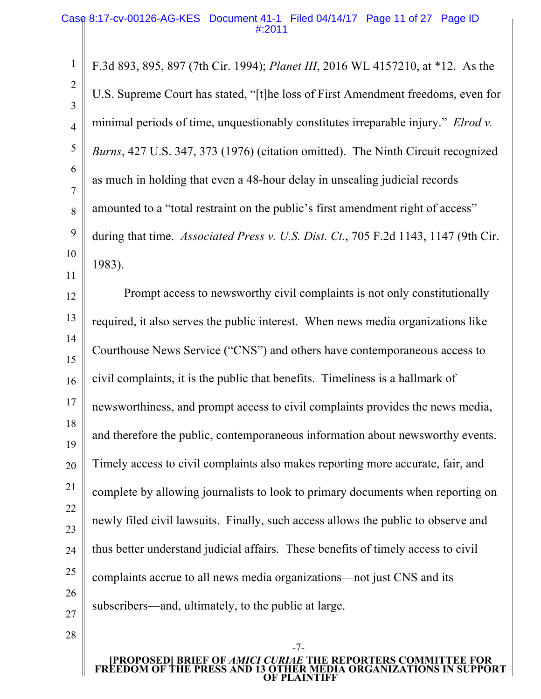F.3d 893, 895, 897 (7th Cir. 1994); *Planet III*, 2016 WL 4157210, at \*12. As the U.S. Supreme Court has stated, "[t]he loss of First Amendment freedoms, even for minimal periods of time, unquestionably constitutes irreparable injury." *Elrod v. Burns*, 427 U.S. 347, 373 (1976) (citation omitted). The Ninth Circuit recognized as much in holding that even a 48-hour delay in unsealing judicial records amounted to a "total restraint on the public's first amendment right of access" during that time. *Associated Press v. U.S. Dist. Ct.*, 705 F.2d 1143, 1147 (9th Cir. 1983).

12 13 14 15 16 17 18 19 20 21 22 23 24 25 26 27 Prompt access to newsworthy civil complaints is not only constitutionally required, it also serves the public interest. When news media organizations like Courthouse News Service ("CNS") and others have contemporaneous access to civil complaints, it is the public that benefits. Timeliness is a hallmark of newsworthiness, and prompt access to civil complaints provides the news media, and therefore the public, contemporaneous information about newsworthy events. Timely access to civil complaints also makes reporting more accurate, fair, and complete by allowing journalists to look to primary documents when reporting on newly filed civil lawsuits. Finally, such access allows the public to observe and thus better understand judicial affairs. These benefits of timely access to civil complaints accrue to all news media organizations—not just CNS and its subscribers—and, ultimately, to the public at large.

28

1

2

3

4

5

6

7

8

9

10

11

-7-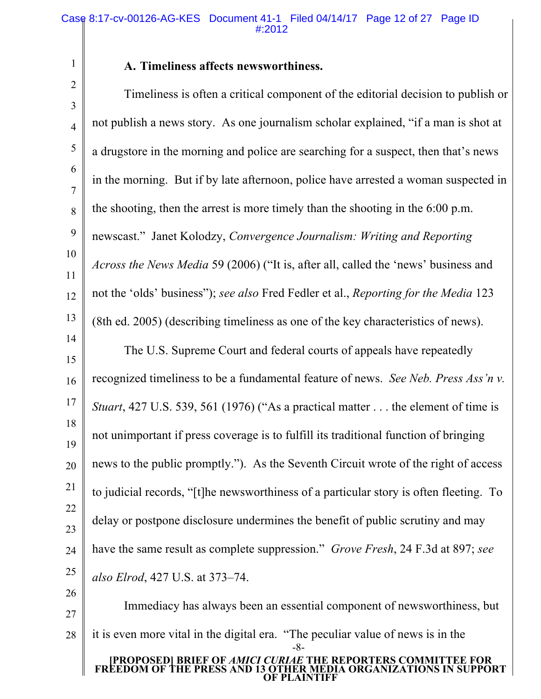## **A. Timeliness affects newsworthiness.**

2 3 4 5 6 7 8 9 10 11 12 13 14 15 16 Timeliness is often a critical component of the editorial decision to publish or not publish a news story. As one journalism scholar explained, "if a man is shot at a drugstore in the morning and police are searching for a suspect, then that's news in the morning. But if by late afternoon, police have arrested a woman suspected in the shooting, then the arrest is more timely than the shooting in the 6:00 p.m. newscast." Janet Kolodzy, *Convergence Journalism: Writing and Reporting Across the News Media* 59 (2006) ("It is, after all, called the 'news' business and not the 'olds' business"); *see also* Fred Fedler et al., *Reporting for the Media* 123 (8th ed. 2005) (describing timeliness as one of the key characteristics of news). The U.S. Supreme Court and federal courts of appeals have repeatedly recognized timeliness to be a fundamental feature of news. *See Neb. Press Ass'n v.* 

17 18 *Stuart*, 427 U.S. 539, 561 (1976) ("As a practical matter . . . the element of time is

19 not unimportant if press coverage is to fulfill its traditional function of bringing news to the public promptly."). As the Seventh Circuit wrote of the right of access

20 21 to judicial records, "[t]he newsworthiness of a particular story is often fleeting. To

22 23 delay or postpone disclosure undermines the benefit of public scrutiny and may

24 25 have the same result as complete suppression." *Grove Fresh*, 24 F.3d at 897; *see also Elrod*, 427 U.S. at 373–74.

26

1

27 28 **[PROPOSED] BRIEF OF** *AMICI CURIAE* **THE REPORTERS COMMITTEE FOR FREEDOM OF THE PRESS AND 13 OTHER MEDIA ORGANIZATIONS IN SUPPORT OF PLAINTIFF** -8- Immediacy has always been an essential component of newsworthiness, but it is even more vital in the digital era. "The peculiar value of news is in the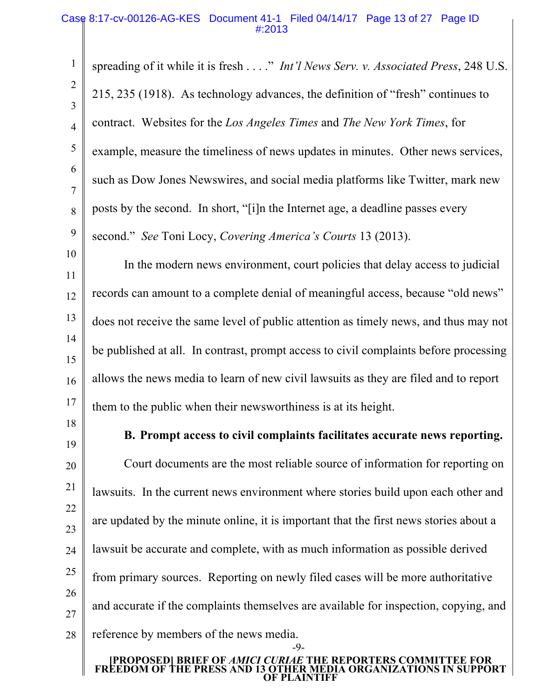spreading of it while it is fresh . . . ." *Int'l News Serv. v. Associated Press*, 248 U.S. 215, 235 (1918). As technology advances, the definition of "fresh" continues to contract. Websites for the *Los Angeles Times* and *The New York Times*, for example, measure the timeliness of news updates in minutes. Other news services, such as Dow Jones Newswires, and social media platforms like Twitter, mark new posts by the second. In short, "[i]n the Internet age, a deadline passes every second." *See* Toni Locy, *Covering America's Courts* 13 (2013).

11 12 13 14 15 16 17 In the modern news environment, court policies that delay access to judicial records can amount to a complete denial of meaningful access, because "old news" does not receive the same level of public attention as timely news, and thus may not be published at all. In contrast, prompt access to civil complaints before processing allows the news media to learn of new civil lawsuits as they are filed and to report them to the public when their newsworthiness is at its height.

18 19

1

2

3

4

5

6

7

8

9

10

**B. Prompt access to civil complaints facilitates accurate news reporting.**

20 21 22 23 24 25 26 27 28 Court documents are the most reliable source of information for reporting on lawsuits. In the current news environment where stories build upon each other and are updated by the minute online, it is important that the first news stories about a lawsuit be accurate and complete, with as much information as possible derived from primary sources. Reporting on newly filed cases will be more authoritative and accurate if the complaints themselves are available for inspection, copying, and reference by members of the news media.

#### **[PROPOSED] BRIEF OF** *AMICI CURIAE* **THE REPORTERS COMMITTEE FOR FREEDOM OF THE PRESS AND 13 OTHER MEDIA ORGANIZATIONS IN SUPPORT OF PLAINTIFF**

-9-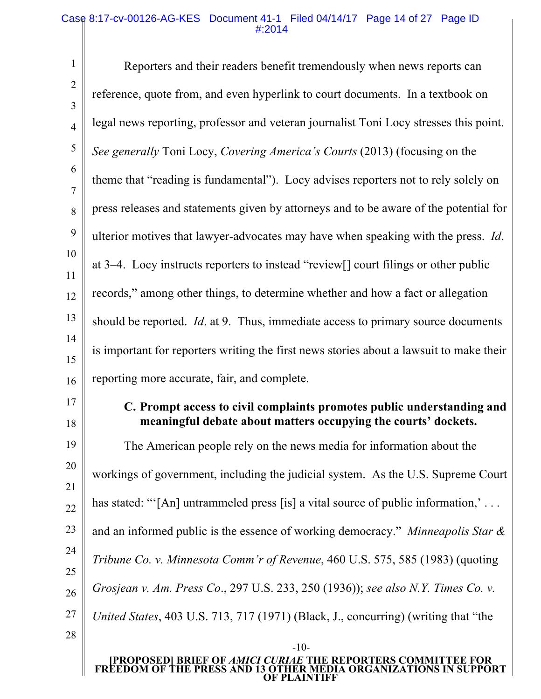#### Case 8:17-cv-00126-AG-KES Document 41-1 Filed 04/14/17 Page 14 of 27 Page ID #:2014

1 2 3 4 5 6 7 8 9 10 11 12 13 14 15 16 17 18 19 20 21 22 Reporters and their readers benefit tremendously when news reports can reference, quote from, and even hyperlink to court documents. In a textbook on legal news reporting, professor and veteran journalist Toni Locy stresses this point. *See generally* Toni Locy, *Covering America's Courts* (2013) (focusing on the theme that "reading is fundamental"). Locy advises reporters not to rely solely on press releases and statements given by attorneys and to be aware of the potential for ulterior motives that lawyer-advocates may have when speaking with the press. *Id*. at 3–4. Locy instructs reporters to instead "review[] court filings or other public records," among other things, to determine whether and how a fact or allegation should be reported. *Id*. at 9. Thus, immediate access to primary source documents is important for reporters writing the first news stories about a lawsuit to make their reporting more accurate, fair, and complete. **C. Prompt access to civil complaints promotes public understanding and meaningful debate about matters occupying the courts' dockets.** The American people rely on the news media for information about the workings of government, including the judicial system. As the U.S. Supreme Court has stated: "'[An] untrammeled press [is] a vital source of public information,'...

and an informed public is the essence of working democracy." *Minneapolis Star &* 

*Tribune Co. v. Minnesota Comm'r of Revenue*, 460 U.S. 575, 585 (1983) (quoting

26 *Grosjean v. Am. Press Co*., 297 U.S. 233, 250 (1936)); *see also N.Y. Times Co. v.* 

27 *United States*, 403 U.S. 713, 717 (1971) (Black, J., concurring) (writing that "the

28

23

24

25

#### **[PROPOSED] BRIEF OF** *AMICI CURIAE* **THE REPORTERS COMMITTEE FOR FREEDOM OF THE PRESS AND 13 OTHER MEDIA ORGANIZATIONS IN SUPPORT OF PLAINTIFF**

-10-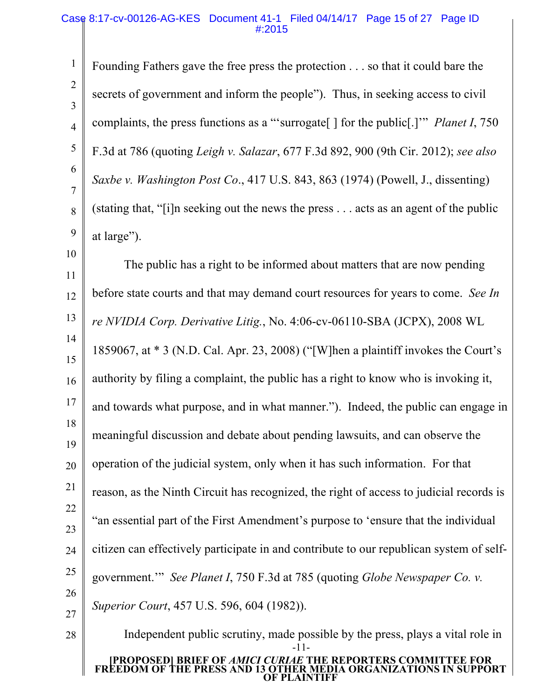## Case 8:17-cv-00126-AG-KES Document 41-1 Filed 04/14/17 Page 15 of 27 Page ID #:2015

1

2

3

4

5

6

7

8

9

10

28

Founding Fathers gave the free press the protection . . . so that it could bare the secrets of government and inform the people"). Thus, in seeking access to civil complaints, the press functions as a "'surrogate[ ] for the public[.]'" *Planet I*, 750 F.3d at 786 (quoting *Leigh v. Salazar*, 677 F.3d 892, 900 (9th Cir. 2012); *see also Saxbe v. Washington Post Co*., 417 U.S. 843, 863 (1974) (Powell, J., dissenting) (stating that, "[i]n seeking out the news the press . . . acts as an agent of the public at large").

11 12 13 14 15 16 17 18 19 20 21 22 23 24 25 26 27 The public has a right to be informed about matters that are now pending before state courts and that may demand court resources for years to come. *See In re NVIDIA Corp. Derivative Litig.*, No. 4:06-cv-06110-SBA (JCPX), 2008 WL 1859067, at \* 3 (N.D. Cal. Apr. 23, 2008) ("[W]hen a plaintiff invokes the Court's authority by filing a complaint, the public has a right to know who is invoking it, and towards what purpose, and in what manner."). Indeed, the public can engage in meaningful discussion and debate about pending lawsuits, and can observe the operation of the judicial system, only when it has such information. For that reason, as the Ninth Circuit has recognized, the right of access to judicial records is "an essential part of the First Amendment's purpose to 'ensure that the individual citizen can effectively participate in and contribute to our republican system of selfgovernment.'" *See Planet I*, 750 F.3d at 785 (quoting *Globe Newspaper Co. v. Superior Court*, 457 U.S. 596, 604 (1982)).

**[PROPOSED] BRIEF OF** *AMICI CURIAE* **THE REPORTERS COMMITTEE FOR FREEDOM OF THE PRESS AND 13 OTHER MEDIA ORGANIZATIONS IN SUPPORT OF PLAINTIFF** -11- Independent public scrutiny, made possible by the press, plays a vital role in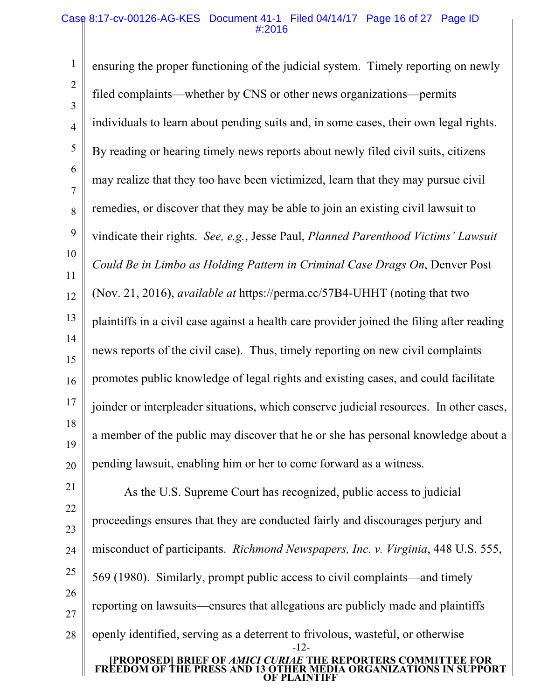### Case 8:17-cv-00126-AG-KES Document 41-1 Filed 04/14/17 Page 16 of 27 Page ID #:2016

1 2 3 4 5 6 7 8 9 10 11 12 13 14 15 16 17 18 19 20 ensuring the proper functioning of the judicial system. Timely reporting on newly filed complaints—whether by CNS or other news organizations—permits individuals to learn about pending suits and, in some cases, their own legal rights. By reading or hearing timely news reports about newly filed civil suits, citizens may realize that they too have been victimized, learn that they may pursue civil remedies, or discover that they may be able to join an existing civil lawsuit to vindicate their rights. *See, e.g.*, Jesse Paul, *Planned Parenthood Victims' Lawsuit Could Be in Limbo as Holding Pattern in Criminal Case Drags On*, Denver Post (Nov. 21, 2016), *available at* https://perma.cc/57B4-UHHT (noting that two plaintiffs in a civil case against a health care provider joined the filing after reading news reports of the civil case). Thus, timely reporting on new civil complaints promotes public knowledge of legal rights and existing cases, and could facilitate joinder or interpleader situations, which conserve judicial resources. In other cases, a member of the public may discover that he or she has personal knowledge about a pending lawsuit, enabling him or her to come forward as a witness.

21 22 23 24 25 26 27 28 **[PROPOSED] BRIEF OF** *AMICI CURIAE* **THE REPORTERS COMMITTEE FOR FREEDOM OF THE PRESS AND 13 OTHER MEDIA ORGANIZATIONS IN SUPPORT OF PLAINTIFF** -12- As the U.S. Supreme Court has recognized, public access to judicial proceedings ensures that they are conducted fairly and discourages perjury and misconduct of participants. *Richmond Newspapers, Inc. v. Virginia*, 448 U.S. 555, 569 (1980). Similarly, prompt public access to civil complaints—and timely reporting on lawsuits—ensures that allegations are publicly made and plaintiffs openly identified, serving as a deterrent to frivolous, wasteful, or otherwise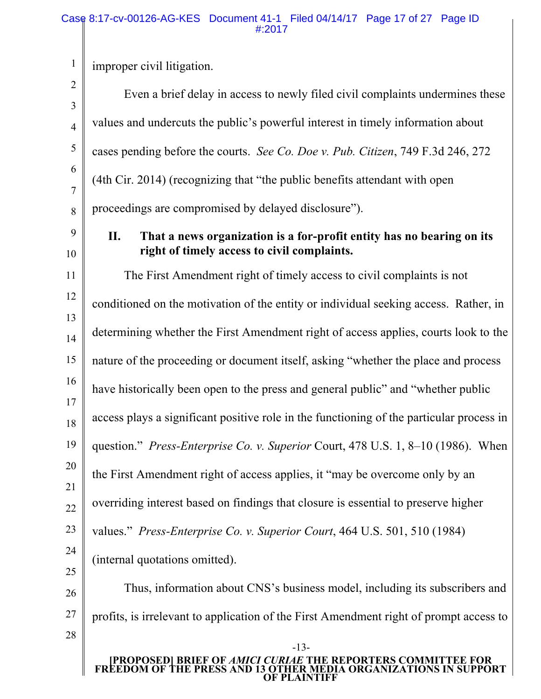1 improper civil litigation.

2 3 4 5 6 7 8 9 10 11 12 13 14 15 16 17 18 19 20 21 22 23 24 25 26 27 28 -13- Even a brief delay in access to newly filed civil complaints undermines these values and undercuts the public's powerful interest in timely information about cases pending before the courts. *See Co. Doe v. Pub. Citizen*, 749 F.3d 246, 272 (4th Cir. 2014) (recognizing that "the public benefits attendant with open proceedings are compromised by delayed disclosure"). **II. That a news organization is a for-profit entity has no bearing on its right of timely access to civil complaints.** The First Amendment right of timely access to civil complaints is not conditioned on the motivation of the entity or individual seeking access. Rather, in determining whether the First Amendment right of access applies, courts look to the nature of the proceeding or document itself, asking "whether the place and process have historically been open to the press and general public" and "whether public access plays a significant positive role in the functioning of the particular process in question." *Press-Enterprise Co. v. Superior* Court, 478 U.S. 1, 8–10 (1986). When the First Amendment right of access applies, it "may be overcome only by an overriding interest based on findings that closure is essential to preserve higher values." *Press-Enterprise Co. v. Superior Court*, 464 U.S. 501, 510 (1984) (internal quotations omitted). Thus, information about CNS's business model, including its subscribers and profits, is irrelevant to application of the First Amendment right of prompt access to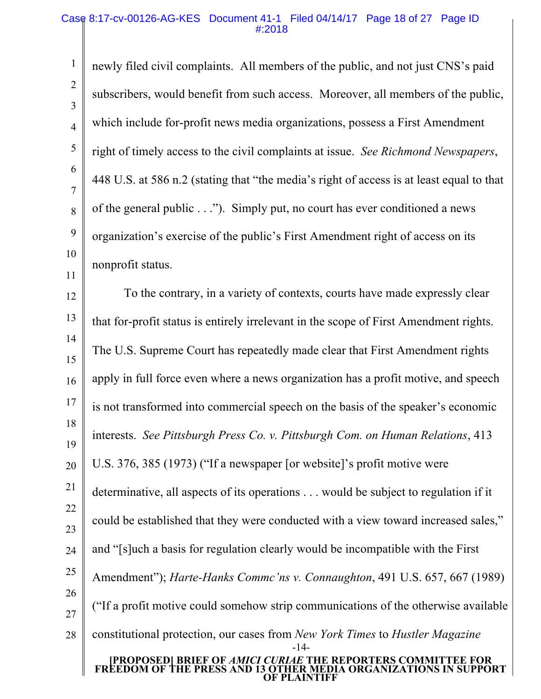#### Case 8:17-cv-00126-AG-KES Document 41-1 Filed 04/14/17 Page 18 of 27 Page ID #:2018

1

2

3

4

5

6

7

8

9

10

11

newly filed civil complaints. All members of the public, and not just CNS's paid subscribers, would benefit from such access. Moreover, all members of the public, which include for-profit news media organizations, possess a First Amendment right of timely access to the civil complaints at issue. *See Richmond Newspapers*, 448 U.S. at 586 n.2 (stating that "the media's right of access is at least equal to that of the general public . . ."). Simply put, no court has ever conditioned a news organization's exercise of the public's First Amendment right of access on its nonprofit status.

12 13 14 15 16 17 18 19 20 21 22 23 24 25 26 27 28 **[PROPOSED] BRIEF OF** *AMICI CURIAE* **THE REPORTERS COMMITTEE FOR FREEDOM OF THE PRESS AND 13 OTHER MEDIA ORGANIZATIONS IN SUPPORT OF PLAINTIFF** -14- To the contrary, in a variety of contexts, courts have made expressly clear that for-profit status is entirely irrelevant in the scope of First Amendment rights. The U.S. Supreme Court has repeatedly made clear that First Amendment rights apply in full force even where a news organization has a profit motive, and speech is not transformed into commercial speech on the basis of the speaker's economic interests. *See Pittsburgh Press Co. v. Pittsburgh Com. on Human Relations*, 413 U.S. 376, 385 (1973) ("If a newspaper [or website]'s profit motive were determinative, all aspects of its operations . . . would be subject to regulation if it could be established that they were conducted with a view toward increased sales," and "[s]uch a basis for regulation clearly would be incompatible with the First Amendment"); *Harte-Hanks Commc'ns v. Connaughton*, 491 U.S. 657, 667 (1989) ("If a profit motive could somehow strip communications of the otherwise available constitutional protection, our cases from *New York Times* to *Hustler Magazine*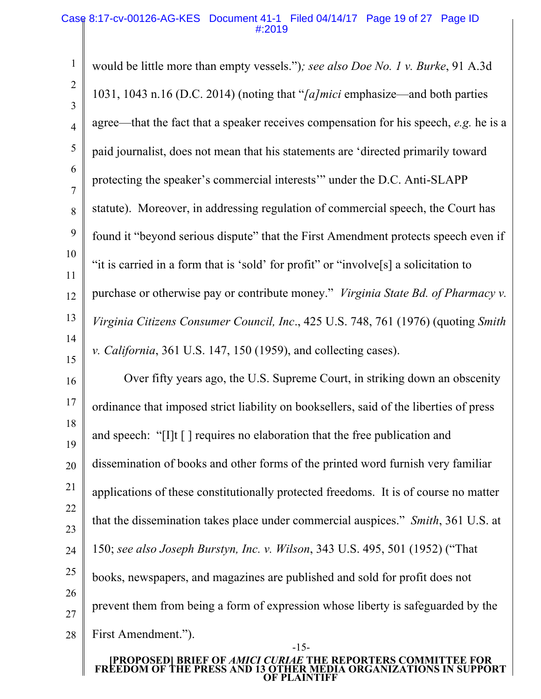1 2 3 4 5 6 7 8 9 10 11 12 13 14 15 16 17 18 19 20 would be little more than empty vessels.")*; see also Doe No. 1 v. Burke*, 91 A.3d 1031, 1043 n.16 (D.C. 2014) (noting that "*[a]mici* emphasize—and both parties agree—that the fact that a speaker receives compensation for his speech, *e.g.* he is a paid journalist, does not mean that his statements are 'directed primarily toward protecting the speaker's commercial interests'" under the D.C. Anti-SLAPP statute). Moreover, in addressing regulation of commercial speech, the Court has found it "beyond serious dispute" that the First Amendment protects speech even if "it is carried in a form that is 'sold' for profit" or "involve[s] a solicitation to purchase or otherwise pay or contribute money." *Virginia State Bd. of Pharmacy v. Virginia Citizens Consumer Council, Inc*., 425 U.S. 748, 761 (1976) (quoting *Smith v. California*, 361 U.S. 147, 150 (1959), and collecting cases). Over fifty years ago, the U.S. Supreme Court, in striking down an obscenity ordinance that imposed strict liability on booksellers, said of the liberties of press and speech: "[I]t [ ] requires no elaboration that the free publication and dissemination of books and other forms of the printed word furnish very familiar

25 26

27 28

First Amendment.").

#### **[PROPOSED] BRIEF OF** *AMICI CURIAE* **THE REPORTERS COMMITTEE FOR FREEDOM OF THE PRESS AND 13 OTHER MEDIA ORGANIZATIONS IN SUPPORT OF PLAINTIFF**

-15-

prevent them from being a form of expression whose liberty is safeguarded by the

applications of these constitutionally protected freedoms. It is of course no matter

that the dissemination takes place under commercial auspices." *Smith*, 361 U.S. at

150; *see also Joseph Burstyn, Inc. v. Wilson*, 343 U.S. 495, 501 (1952) ("That

books, newspapers, and magazines are published and sold for profit does not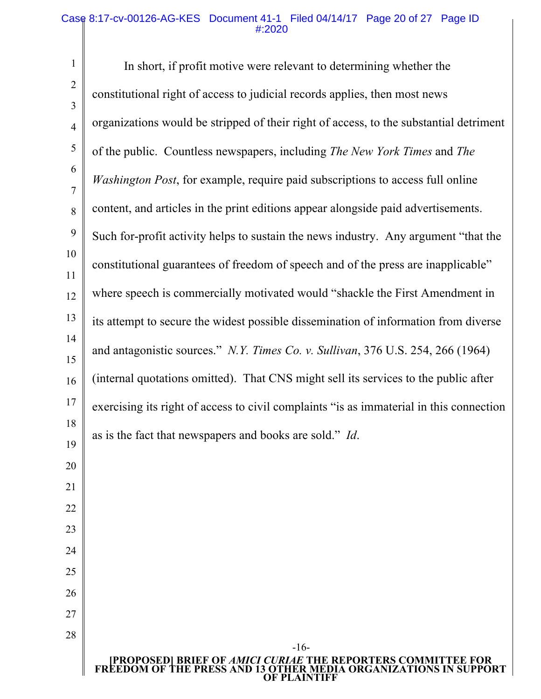#### Case 8:17-cv-00126-AG-KES Document 41-1 Filed 04/14/17 Page 20 of 27 Page ID #:2020

1 2 3 4 5 6 7 8 9 10 11 12 13 14 15 16 17 18 19 20 21 22 23 24 25 26 27 28 **[PROPOSED] BRIEF OF** *AMICI CURIAE* **THE REPORTERS COMMITTEE FOR FREEDOM OF THE PRESS AND 13 OTHER MEDIA ORGANIZATIONS IN SUPPORT**  -16- In short, if profit motive were relevant to determining whether the constitutional right of access to judicial records applies, then most news organizations would be stripped of their right of access, to the substantial detriment of the public. Countless newspapers, including *The New York Times* and *The Washington Post*, for example, require paid subscriptions to access full online content, and articles in the print editions appear alongside paid advertisements. Such for-profit activity helps to sustain the news industry. Any argument "that the constitutional guarantees of freedom of speech and of the press are inapplicable" where speech is commercially motivated would "shackle the First Amendment in its attempt to secure the widest possible dissemination of information from diverse and antagonistic sources." *N.Y. Times Co. v. Sullivan*, 376 U.S. 254, 266 (1964) (internal quotations omitted). That CNS might sell its services to the public after exercising its right of access to civil complaints "is as immaterial in this connection as is the fact that newspapers and books are sold." *Id*.

**OF PLAINTIFF**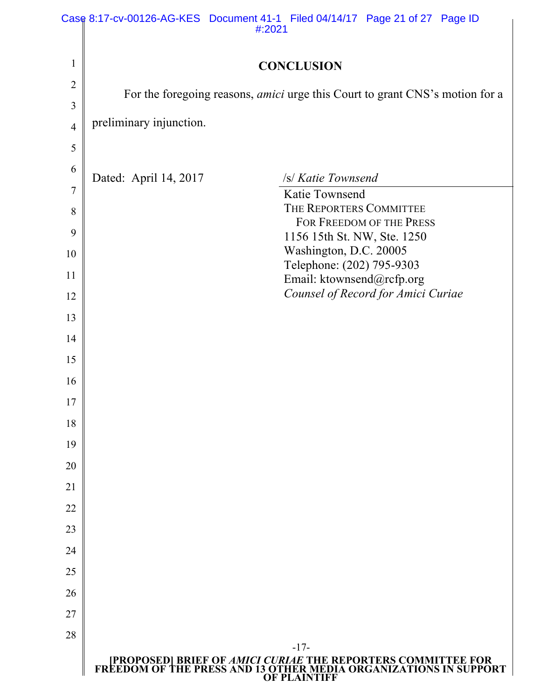|                | Case 8:17-cv-00126-AG-KES Document 41-1 Filed 04/14/17 Page 21 of 27 Page ID<br>#:2021                                                           |
|----------------|--------------------------------------------------------------------------------------------------------------------------------------------------|
| 1              | <b>CONCLUSION</b>                                                                                                                                |
| 2              |                                                                                                                                                  |
| 3              | For the foregoing reasons, <i>amici</i> urge this Court to grant CNS's motion for a                                                              |
| $\overline{4}$ | preliminary injunction.                                                                                                                          |
| 5              |                                                                                                                                                  |
| 6              | Dated: April 14, 2017<br>/s/ Katie Townsend                                                                                                      |
| 7              | Katie Townsend                                                                                                                                   |
| 8              | THE REPORTERS COMMITTEE                                                                                                                          |
| 9              | FOR FREEDOM OF THE PRESS<br>1156 15th St. NW, Ste. 1250                                                                                          |
| 10             | Washington, D.C. 20005                                                                                                                           |
| 11             | Telephone: (202) 795-9303<br>Email: ktownsend@rcfp.org                                                                                           |
| 12             | Counsel of Record for Amici Curiae                                                                                                               |
| 13             |                                                                                                                                                  |
| 14             |                                                                                                                                                  |
| 15             |                                                                                                                                                  |
| 16             |                                                                                                                                                  |
| 17             |                                                                                                                                                  |
| 18             |                                                                                                                                                  |
| 19             |                                                                                                                                                  |
| 20             |                                                                                                                                                  |
| 21             |                                                                                                                                                  |
| 22             |                                                                                                                                                  |
| 23             |                                                                                                                                                  |
| 24             |                                                                                                                                                  |
| 25             |                                                                                                                                                  |
| 26             |                                                                                                                                                  |
| 27             |                                                                                                                                                  |
| 28             | $-17-$                                                                                                                                           |
|                | [PROPOSED] BRIEF OF AMICI CURIAE THE REPORTERS COMMITTEE FOR<br>FREEDOM OF THE PRESS AND 13 OTHER MEDIA ORGANIZATIONS IN SUPPORT<br>OF PLAINTIFF |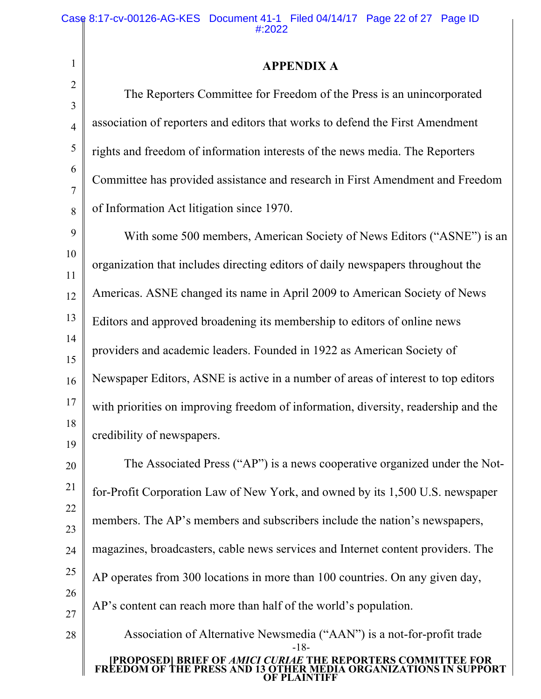2

3

4

5

6

7

8

28

## **APPENDIX A**

The Reporters Committee for Freedom of the Press is an unincorporated association of reporters and editors that works to defend the First Amendment rights and freedom of information interests of the news media. The Reporters Committee has provided assistance and research in First Amendment and Freedom of Information Act litigation since 1970.

9 10 11 12 13 14 15 16 17 18 19 With some 500 members, American Society of News Editors ("ASNE") is an organization that includes directing editors of daily newspapers throughout the Americas. ASNE changed its name in April 2009 to American Society of News Editors and approved broadening its membership to editors of online news providers and academic leaders. Founded in 1922 as American Society of Newspaper Editors, ASNE is active in a number of areas of interest to top editors with priorities on improving freedom of information, diversity, readership and the credibility of newspapers.

20 21 22 23 24 25 26 27 The Associated Press ("AP") is a news cooperative organized under the Notfor-Profit Corporation Law of New York, and owned by its 1,500 U.S. newspaper members. The AP's members and subscribers include the nation's newspapers, magazines, broadcasters, cable news services and Internet content providers. The AP operates from 300 locations in more than 100 countries. On any given day, AP's content can reach more than half of the world's population.

**[PROPOSED] BRIEF OF** *AMICI CURIAE* **THE REPORTERS COMMITTEE FOR FREEDOM OF THE PRESS AND 13 OTHER MEDIA ORGANIZATIONS IN SUPPORT OF PLAINTIFF** -18- Association of Alternative Newsmedia ("AAN") is a not-for-profit trade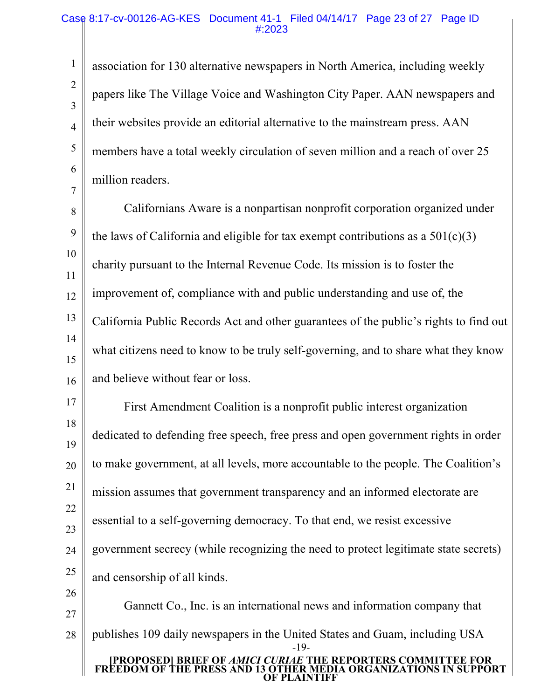2

3

4

5

6

7

association for 130 alternative newspapers in North America, including weekly papers like The Village Voice and Washington City Paper. AAN newspapers and their websites provide an editorial alternative to the mainstream press. AAN members have a total weekly circulation of seven million and a reach of over 25 million readers.

8 9 10 11 12 13 14 15 16 Californians Aware is a nonpartisan nonprofit corporation organized under the laws of California and eligible for tax exempt contributions as a  $501(c)(3)$ charity pursuant to the Internal Revenue Code. Its mission is to foster the improvement of, compliance with and public understanding and use of, the California Public Records Act and other guarantees of the public's rights to find out what citizens need to know to be truly self-governing, and to share what they know and believe without fear or loss.

17 18 19 20 21 22 23 24 25 26 First Amendment Coalition is a nonprofit public interest organization dedicated to defending free speech, free press and open government rights in order to make government, at all levels, more accountable to the people. The Coalition's mission assumes that government transparency and an informed electorate are essential to a self-governing democracy. To that end, we resist excessive government secrecy (while recognizing the need to protect legitimate state secrets) and censorship of all kinds.

27 28 **[PROPOSED] BRIEF OF** *AMICI CURIAE* **THE REPORTERS COMMITTEE FOR FREEDOM OF THE PRESS AND 13 OTHER MEDIA ORGANIZATIONS IN SUPPORT OF PLAINTIFF** -19- Gannett Co., Inc. is an international news and information company that publishes 109 daily newspapers in the United States and Guam, including USA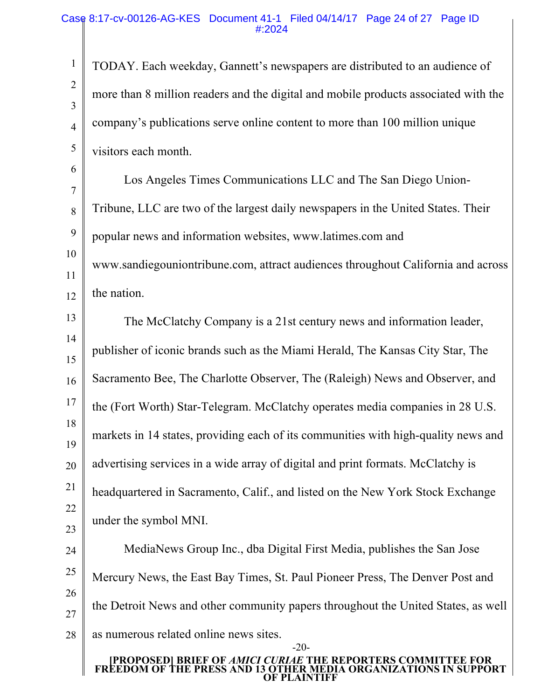2

3

4

5

TODAY. Each weekday, Gannett's newspapers are distributed to an audience of more than 8 million readers and the digital and mobile products associated with the company's publications serve online content to more than 100 million unique visitors each month.

6 7 8 9 10 11 12 Los Angeles Times Communications LLC and The San Diego Union-Tribune, LLC are two of the largest daily newspapers in the United States. Their popular news and information websites, www.latimes.com and www.sandiegouniontribune.com, attract audiences throughout California and across the nation.

13 14 15 16 17 18 19 20 21 22 23 The McClatchy Company is a 21st century news and information leader, publisher of iconic brands such as the Miami Herald, The Kansas City Star, The Sacramento Bee, The Charlotte Observer, The (Raleigh) News and Observer, and the (Fort Worth) Star-Telegram. McClatchy operates media companies in 28 U.S. markets in 14 states, providing each of its communities with high-quality news and advertising services in a wide array of digital and print formats. McClatchy is headquartered in Sacramento, Calif., and listed on the New York Stock Exchange under the symbol MNI.

24 25 26 27 28 MediaNews Group Inc., dba Digital First Media, publishes the San Jose Mercury News, the East Bay Times, St. Paul Pioneer Press, The Denver Post and the Detroit News and other community papers throughout the United States, as well as numerous related online news sites.

#### **[PROPOSED] BRIEF OF** *AMICI CURIAE* **THE REPORTERS COMMITTEE FOR FREEDOM OF THE PRESS AND 13 OTHER MEDIA ORGANIZATIONS IN SUPPORT OF PLAINTIFF**

-20-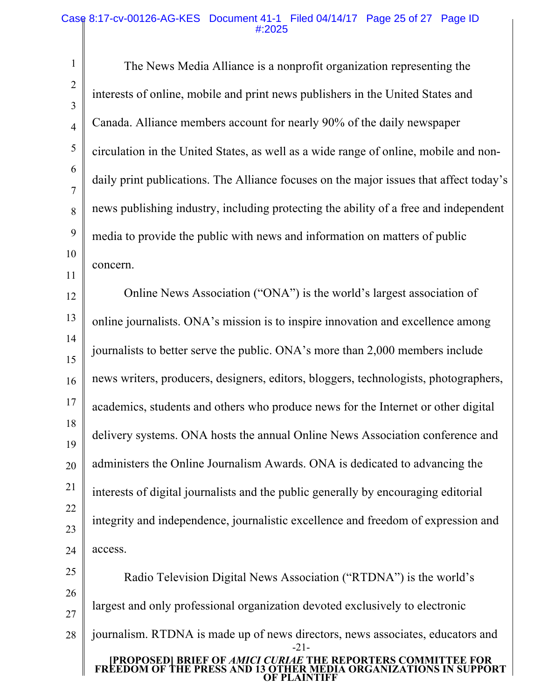#### Case 8:17-cv-00126-AG-KES Document 41-1 Filed 04/14/17 Page 25 of 27 Page ID #:2025

1

2

3

4

5

6

7

8

9

10

11

The News Media Alliance is a nonprofit organization representing the interests of online, mobile and print news publishers in the United States and Canada. Alliance members account for nearly 90% of the daily newspaper circulation in the United States, as well as a wide range of online, mobile and nondaily print publications. The Alliance focuses on the major issues that affect today's news publishing industry, including protecting the ability of a free and independent media to provide the public with news and information on matters of public concern.

12 13 14 15 16 17 18 19 20 21 22 23 24 Online News Association ("ONA") is the world's largest association of online journalists. ONA's mission is to inspire innovation and excellence among journalists to better serve the public. ONA's more than 2,000 members include news writers, producers, designers, editors, bloggers, technologists, photographers, academics, students and others who produce news for the Internet or other digital delivery systems. ONA hosts the annual Online News Association conference and administers the Online Journalism Awards. ONA is dedicated to advancing the interests of digital journalists and the public generally by encouraging editorial integrity and independence, journalistic excellence and freedom of expression and access.

25 26 27 28 **[PROPOSED] BRIEF OF** *AMICI CURIAE* **THE REPORTERS COMMITTEE FOR FREEDOM OF THE PRESS AND 13 OTHER MEDIA ORGANIZATIONS IN SUPPORT OF PLAINTIFF** -21- Radio Television Digital News Association ("RTDNA") is the world's largest and only professional organization devoted exclusively to electronic journalism. RTDNA is made up of news directors, news associates, educators and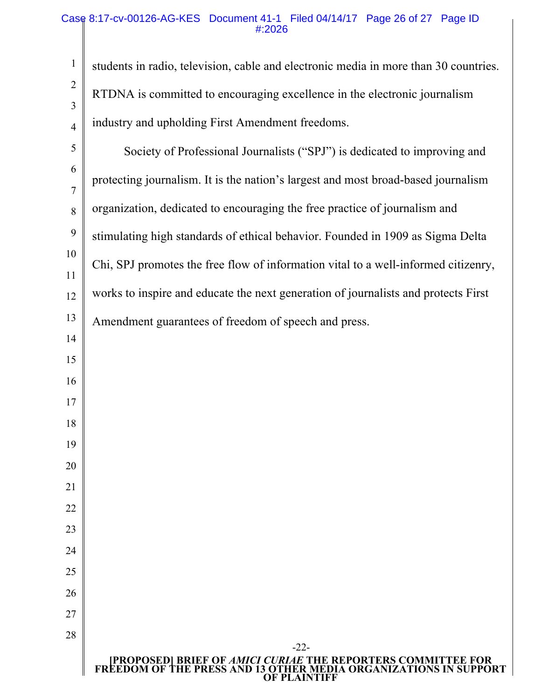## Case 8:17-cv-00126-AG-KES Document 41-1 Filed 04/14/17 Page 26 of 27 Page ID #:2026

students in radio, television, cable and electronic media in more than 30 countries. RTDNA is committed to encouraging excellence in the electronic journalism industry and upholding First Amendment freedoms.

 Society of Professional Journalists ("SPJ") is dedicated to improving and protecting journalism. It is the nation's largest and most broad-based journalism organization, dedicated to encouraging the free practice of journalism and stimulating high standards of ethical behavior. Founded in 1909 as Sigma Delta Chi, SPJ promotes the free flow of information vital to a well-informed citizenry, works to inspire and educate the next generation of journalists and protects First Amendment guarantees of freedom of speech and press.

-22-